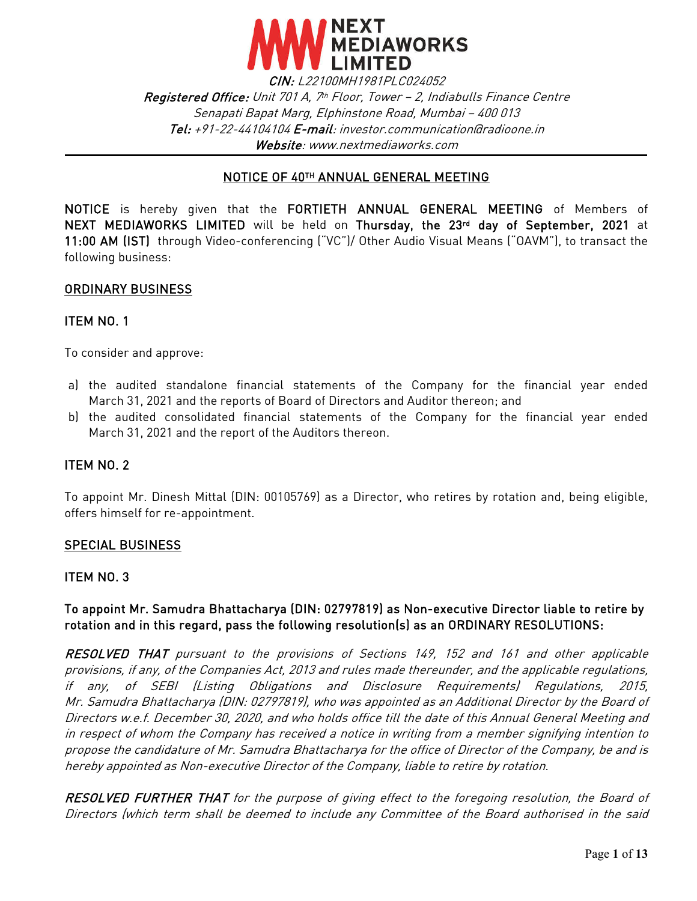

CIN: L22100MH1981PLC024052 Registered Office: Unit 701 A, 7th Floor, Tower – 2, Indiabulls Finance Centre Senapati Bapat Marg, Elphinstone Road, Mumbai – 400 013 Tel: +91-22-44104104 E-mail: [investor.communication@radioone.i](mailto:investor.communication@radioone.)n Website: www.nextmediaworks.com

#### ٦ NOTICE OF 40TH ANNUAL GENERAL MEETING

NOTICE is hereby given that the FORTIETH ANNUAL GENERAL MEETING of Members of NEXT MEDIAWORKS LIMITED will be held on Thursday, the 23rd day of September, 2021 at 11:00 AM (IST) through Video-conferencing ("VC")/ Other Audio Visual Means ("OAVM"), to transact the following business:

#### ORDINARY BUSINESS

#### ITEM NO. 1

To consider and approve:

- a) the audited standalone financial statements of the Company for the financial year ended March 31, 2021 and the reports of Board of Directors and Auditor thereon; and
- b) the audited consolidated financial statements of the Company for the financial year ended March 31, 2021 and the report of the Auditors thereon.

#### ITEM NO. 2

To appoint Mr. Dinesh Mittal (DIN: 00105769) as a Director, who retires by rotation and, being eligible, offers himself for re-appointment.

#### SPECIAL BUSINESS

#### ITEM NO. 3

### To appoint Mr. Samudra Bhattacharya (DIN: 02797819) as Non-executive Director liable to retire by rotation and in this regard, pass the following resolution(s) as an ORDINARY RESOLUTIONS:

RESOLVED THAT pursuant to the provisions of Sections 149, 152 and 161 and other applicable provisions, if any, of the Companies Act, 2013 and rules made thereunder, and the applicable regulations, if any, of SEBI (Listing Obligations and Disclosure Requirements) Regulations, 2015, Mr. Samudra Bhattacharya (DIN: 02797819), who was appointed as an Additional Director by the Board of Directors w.e.f. December 30, 2020, and who holds office till the date of this Annual General Meeting and in respect of whom the Company has received a notice in writing from a member signifying intention to propose the candidature of Mr. Samudra Bhattacharya for the office of Director of the Company, be and is hereby appointed as Non-executive Director of the Company, liable to retire by rotation.

RESOLVED FURTHER THAT for the purpose of giving effect to the foregoing resolution, the Board of Directors (which term shall be deemed to include any Committee of the Board authorised in the said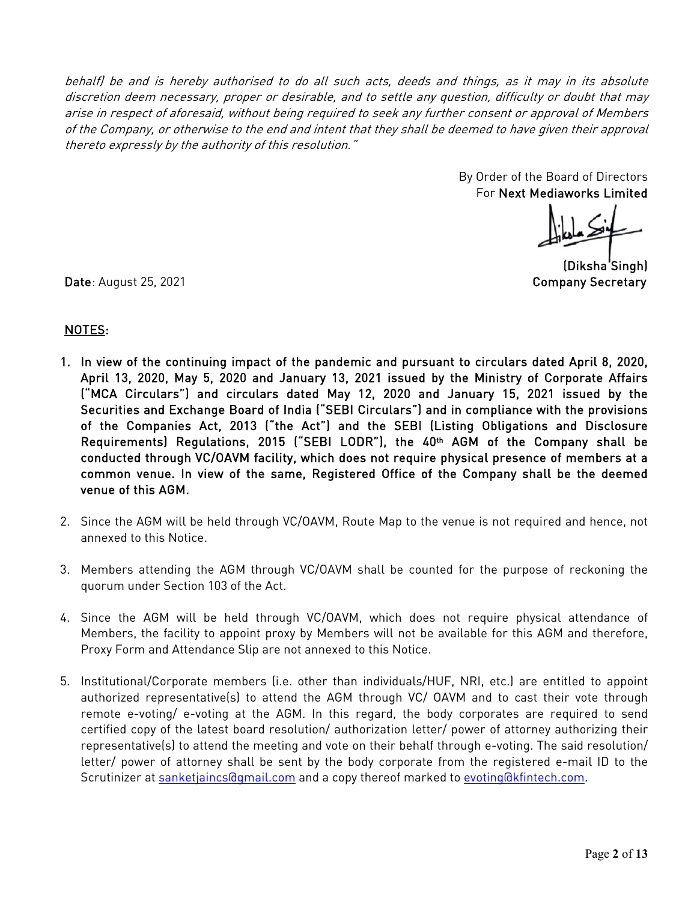behalf) be and is hereby authorised to do all such acts, deeds and things, as it may in its absolute discretion deem necessary, proper or desirable, and to settle any question, difficulty or doubt that may arise in respect of aforesaid, without being required to seek any further consent or approval of Members of the Company, or otherwise to the end and intent that they shall be deemed to have given their approval thereto expressly by the authority of this resolution."

> By Order of the Board of Directors For Next Mediaworks Limited

(Diksha'Singh)

Date: August 25, 2021 **Company Secretary** 

# NOTES:

- 1. In view of the continuing impact of the pandemic and pursuant to circulars dated April 8, 2020, April 13, 2020, May 5, 2020 and January 13, 2021 issued by the Ministry of Corporate Affairs ("MCA Circulars") and circulars dated May 12, 2020 and January 15, 2021 issued by the Securities and Exchange Board of India ("SEBI Circulars") and in compliance with the provisions of the Companies Act, 2013 ("the Act") and the SEBI (Listing Obligations and Disclosure Requirements) Regulations, 2015 ("SEBI LODR"), the 40th AGM of the Company shall be conducted through VC/OAVM facility, which does not require physical presence of members at a common venue. In view of the same, Registered Office of the Company shall be the deemed venue of this AGM.
- 2. Since the AGM will be held through VC/OAVM, Route Map to the venue is not required and hence, not annexed to this Notice.
- 3. Members attending the AGM through VC/OAVM shall be counted for the purpose of reckoning the quorum under Section 103 of the Act.
- 4. Since the AGM will be held through VC/OAVM, which does not require physical attendance of Members, the facility to appoint proxy by Members will not be available for this AGM and therefore, Proxy Form and Attendance Slip are not annexed to this Notice.
- 5. Institutional/Corporate members (i.e. other than individuals/HUF, NRI, etc.) are entitled to appoint authorized representative(s) to attend the AGM through VC/ OAVM and to cast their vote through remote e-voting/ e-voting at the AGM. In this regard, the body corporates are required to send certified copy of the latest board resolution/ authorization letter/ power of attorney authorizing their representative(s) to attend the meeting and vote on their behalf through e-voting. The said resolution/ letter/ power of attorney shall be sent by the body corporate from the registered e-mail ID to the Scrutinizer at [sanketjaincs@gmail.com](mailto:sanketjaincs@gmail.com) and a copy thereof marked to [evoting@kfintech.com.](mailto:evoting@kfintech.com)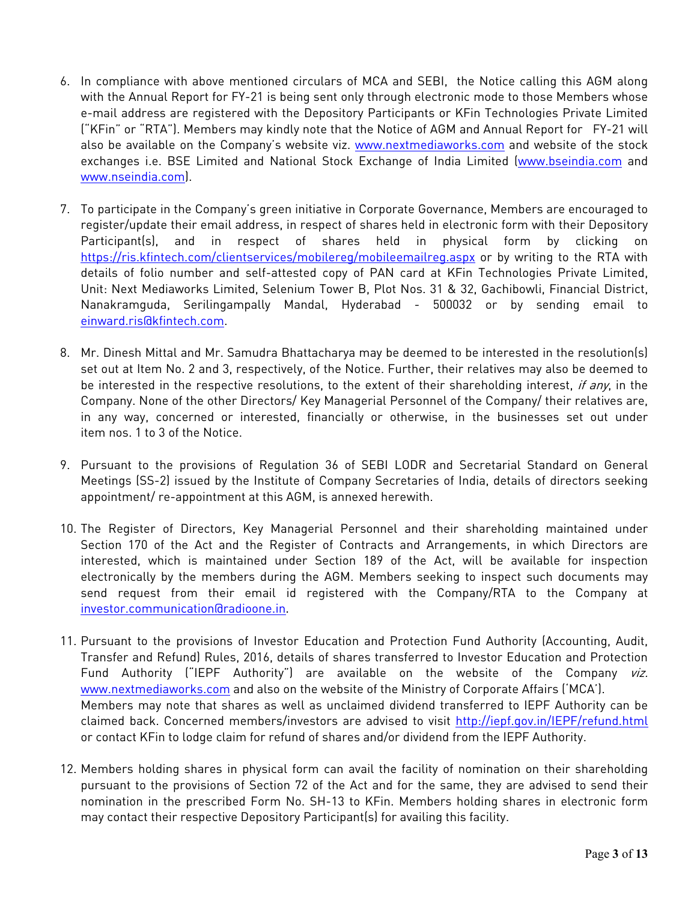- 6. In compliance with above mentioned circulars of MCA and SEBI, the Notice calling this AGM along with the Annual Report for FY-21 is being sent only through electronic mode to those Members whose e-mail address are registered with the Depository Participants or KFin Technologies Private Limited ("KFin" or "RTA"). Members may kindly note that the Notice of AGM and Annual Report for FY-21 will also be available on the Company's website viz. [www.nextmediaworks.com](http://www.nextmediaworks.com/) and website of the stock exchanges i.e. BSE Limited and National Stock Exchange of India Limited [\(www.bseindia.com](http://www.bseindia.com/) and [www.nseindia.com\)](http://www.nseindia.com/).
- 7. To participate in the Company's green initiative in Corporate Governance, Members are encouraged to register/update their email address, in respect of shares held in electronic form with their Depository Participant(s), and in respect of shares held in physical form by clicking on <https://ris.kfintech.com/clientservices/mobilereg/mobileemailreg.aspx> or by writing to the RTA with details of folio number and self-attested copy of PAN card at KFin Technologies Private Limited, Unit: Next Mediaworks Limited, Selenium Tower B, Plot Nos. 31 & 32, Gachibowli, Financial District, Nanakramguda, Serilingampally Mandal, Hyderabad - 500032 or by sending email to [einward.ris@kfintech.com.](mailto:einward.ris@kfintech.com)
- 8. Mr. Dinesh Mittal and Mr. Samudra Bhattacharya may be deemed to be interested in the resolution(s) set out at Item No. 2 and 3, respectively, of the Notice. Further, their relatives may also be deemed to be interested in the respective resolutions, to the extent of their shareholding interest, if any, in the Company. None of the other Directors/ Key Managerial Personnel of the Company/ their relatives are, in any way, concerned or interested, financially or otherwise, in the businesses set out under item nos. 1 to 3 of the Notice.
- 9. Pursuant to the provisions of Regulation 36 of SEBI LODR and Secretarial Standard on General Meetings (SS-2) issued by the Institute of Company Secretaries of India, details of directors seeking appointment/ re-appointment at this AGM, is annexed herewith.
- 10. The Register of Directors, Key Managerial Personnel and their shareholding maintained under Section 170 of the Act and the Register of Contracts and Arrangements, in which Directors are interested, which is maintained under Section 189 of the Act, will be available for inspection electronically by the members during the AGM. Members seeking to inspect such documents may send request from their email id registered with the Company/RTA to the Company at [investor.communication@radioone.in](mailto:investor.communication@radioone.in.).
- 11. Pursuant to the provisions of Investor Education and Protection Fund Authority (Accounting, Audit, Transfer and Refund) Rules, 2016, details of shares transferred to Investor Education and Protection Fund Authority ("IEPF Authority") are available on the website of the Company viz. [www.nextmediaworks.com](http://www.nextmediaworks.com/) and also on the website of the Ministry of Corporate Affairs ('MCA'). Members may note that shares as well as unclaimed dividend transferred to IEPF Authority can be claimed back. Concerned members/investors are advised to visit<http://iepf.gov.in/IEPF/refund.html> or contact KFin to lodge claim for refund of shares and/or dividend from the IEPF Authority.
- 12. Members holding shares in physical form can avail the facility of nomination on their shareholding pursuant to the provisions of Section 72 of the Act and for the same, they are advised to send their nomination in the prescribed Form No. SH-13 to KFin. Members holding shares in electronic form may contact their respective Depository Participant(s) for availing this facility.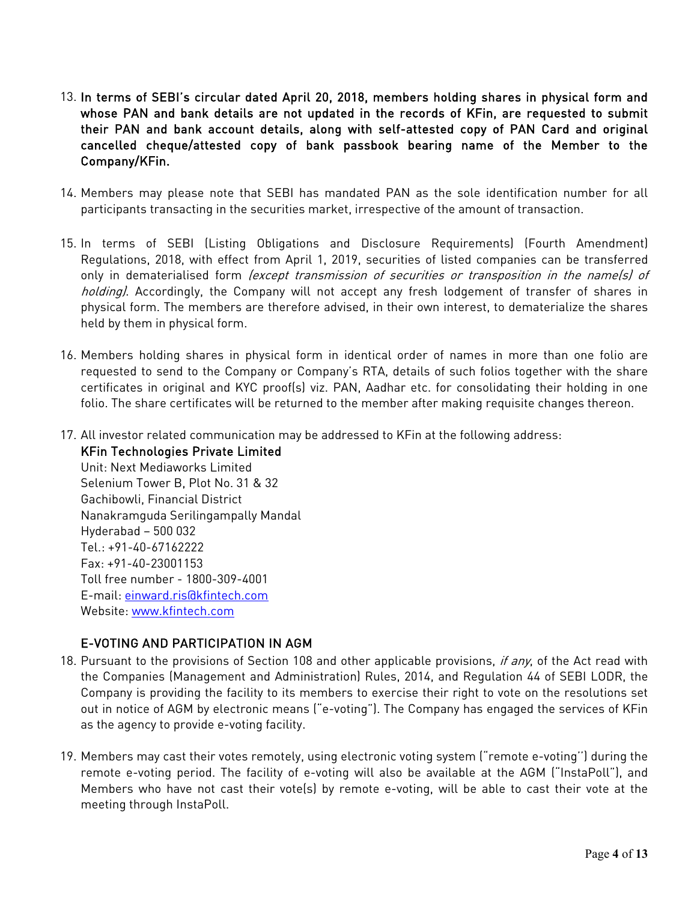- 13. In terms of SEBI's circular dated April 20, 2018, members holding shares in physical form and whose PAN and bank details are not updated in the records of KFin, are requested to submit their PAN and bank account details, along with self-attested copy of PAN Card and original cancelled cheque/attested copy of bank passbook bearing name of the Member to the Company/KFin.
- 14. Members may please note that SEBI has mandated PAN as the sole identification number for all participants transacting in the securities market, irrespective of the amount of transaction.
- 15. In terms of SEBI (Listing Obligations and Disclosure Requirements) (Fourth Amendment) Regulations, 2018, with effect from April 1, 2019, securities of listed companies can be transferred only in dematerialised form (except transmission of securities or transposition in the name(s) of holding). Accordingly, the Company will not accept any fresh lodgement of transfer of shares in physical form. The members are therefore advised, in their own interest, to dematerialize the shares held by them in physical form.
- 16. Members holding shares in physical form in identical order of names in more than one folio are requested to send to the Company or Company's RTA, details of such folios together with the share certificates in original and KYC proof(s) viz. PAN, Aadhar etc. for consolidating their holding in one folio. The share certificates will be returned to the member after making requisite changes thereon.
- 17. All investor related communication may be addressed to KFin at the following address:

KFin Technologies Private Limited Unit: Next Mediaworks Limited Selenium Tower B, Plot No. 31 & 32 Gachibowli, Financial District Nanakramguda Serilingampally Mandal Hyderabad – 500 032  $Tel \cdot +91 - 40 - 67162222$ Fax: +91-40-23001153 Toll free number - 1800-309-4001 E-mail: [einward.ris@kfintech.com](mailto:einward.ris@Kfintech.com) Website: www.kfintech.com

# E-VOTING AND PARTICIPATION IN AGM

- 18. Pursuant to the provisions of Section 108 and other applicable provisions, if any, of the Act read with the Companies (Management and Administration) Rules, 2014, and Regulation 44 of SEBI LODR, the Company is providing the facility to its members to exercise their right to vote on the resolutions set out in notice of AGM by electronic means ("e-voting"). The Company has engaged the services of KFin as the agency to provide e-voting facility.
- 19. Members may cast their votes remotely, using electronic voting system ("remote e-voting'') during the remote e-voting period. The facility of e-voting will also be available at the AGM ("InstaPoll"), and Members who have not cast their vote(s) by remote e-voting, will be able to cast their vote at the meeting through InstaPoll.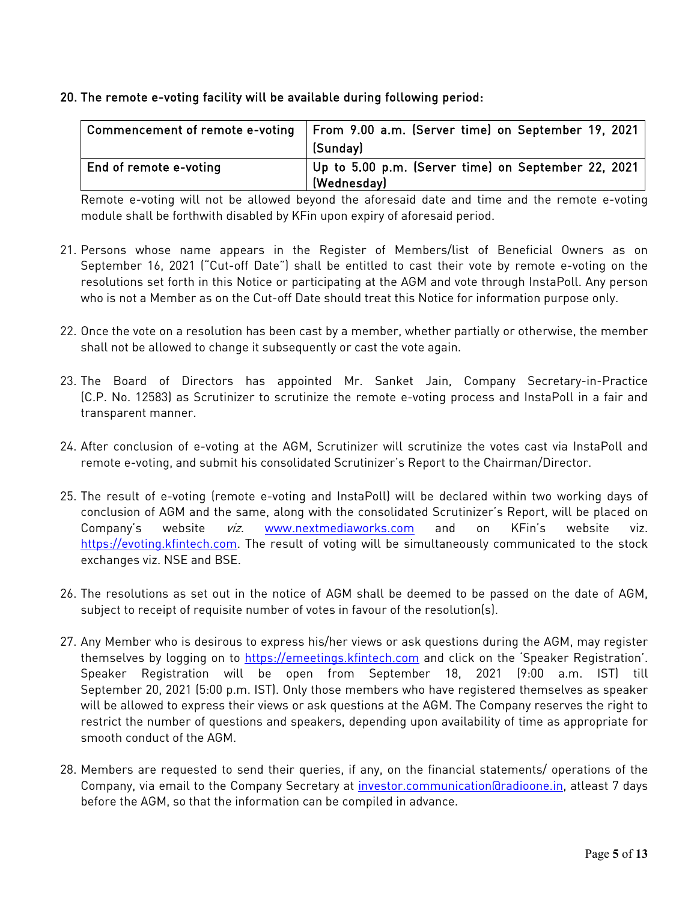### 20. The remote e-voting facility will be available during following period:

| Commencement of remote e-voting | From 9.00 a.m. (Server time) on September 19, 2021<br>(Sunday)     |
|---------------------------------|--------------------------------------------------------------------|
| End of remote e-voting          | Up to 5.00 p.m. (Server time) on September 22, 2021<br>(Wednesday) |

Remote e-voting will not be allowed beyond the aforesaid date and time and the remote e-voting module shall be forthwith disabled by KFin upon expiry of aforesaid period.

- 21. Persons whose name appears in the Register of Members/list of Beneficial Owners as on September 16, 2021 ("Cut-off Date") shall be entitled to cast their vote by remote e-voting on the resolutions set forth in this Notice or participating at the AGM and vote through InstaPoll. Any person who is not a Member as on the Cut-off Date should treat this Notice for information purpose only.
- 22. Once the vote on a resolution has been cast by a member, whether partially or otherwise, the member shall not be allowed to change it subsequently or cast the vote again.
- 23. The Board of Directors has appointed Mr. Sanket Jain, Company Secretary-in-Practice (C.P. No. 12583) as Scrutinizer to scrutinize the remote e-voting process and InstaPoll in a fair and transparent manner.
- 24. After conclusion of e-voting at the AGM, Scrutinizer will scrutinize the votes cast via InstaPoll and remote e-voting, and submit his consolidated Scrutinizer's Report to the Chairman/Director.
- 25. The result of e-voting (remote e-voting and InstaPoll) will be declared within two working days of conclusion of AGM and the same, along with the consolidated Scrutinizer's Report, will be placed on Company's website viz. [www.nextmediaworks.com](http://www.nextmediaworks.com/) and on KFin's website viz. [https://evoting.kfintech.com.](https://evoting.kfintech.com/) The result of voting will be simultaneously communicated to the stock exchanges viz. NSE and BSE.
- 26. The resolutions as set out in the notice of AGM shall be deemed to be passed on the date of AGM, subject to receipt of requisite number of votes in favour of the resolution(s).
- 27. Any Member who is desirous to express his/her views or ask questions during the AGM, may register themselves by logging on to [https://emeetings.kfintech.com](https://emeetings.kfintech.com/) and click on the 'Speaker Registration'. Speaker Registration will be open from September 18, 2021 (9:00 a.m. IST) till September 20, 2021 (5:00 p.m. IST). Only those members who have registered themselves as speaker will be allowed to express their views or ask questions at the AGM. The Company reserves the right to restrict the number of questions and speakers, depending upon availability of time as appropriate for smooth conduct of the AGM.
- 28. Members are requested to send their queries, if any, on the financial statements/ operations of the Company, via email to the Company Secretary at [investor.communication@radioone.in,](mailto:investor.communication@radioone.in) atleast 7 days before the AGM, so that the information can be compiled in advance.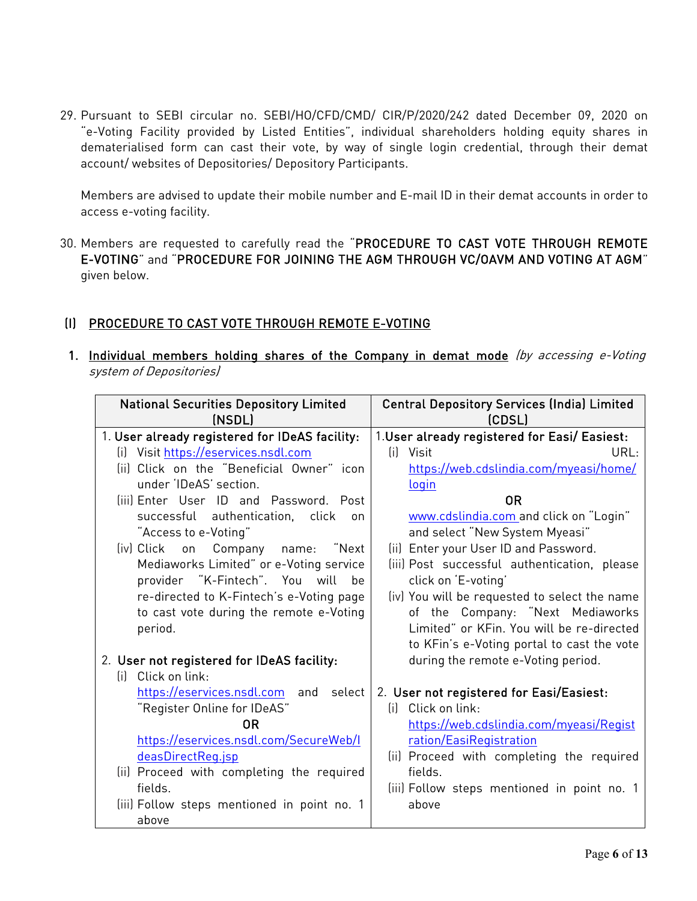29. Pursuant to SEBI circular no. SEBI/HO/CFD/CMD/ CIR/P/2020/242 dated December 09, 2020 on "e-Voting Facility provided by Listed Entities", individual shareholders holding equity shares in dematerialised form can cast their vote, by way of single login credential, through their demat account/ websites of Depositories/ Depository Participants.

Members are advised to update their mobile number and E-mail ID in their demat accounts in order to access e-voting facility.

30. Members are requested to carefully read the "PROCEDURE TO CAST VOTE THROUGH REMOTE E-VOTING" and "PROCEDURE FOR JOINING THE AGM THROUGH VC/OAVM AND VOTING AT AGM" given below.

# (I) PROCEDURE TO CAST VOTE THROUGH REMOTE E-VOTING

1. Individual members holding shares of the Company in demat mode (by accessing e-Voting system of Depositories)

| <b>National Securities Depository Limited</b><br>(NSDL)          |        | <b>Central Depository Services (India) Limited</b><br>(CDSL)   |  |
|------------------------------------------------------------------|--------|----------------------------------------------------------------|--|
| 1. User already registered for IDeAS facility:                   |        | 1. User already registered for Easi/ Easiest:                  |  |
| (i) Visit https://eservices.nsdl.com                             |        | (ii)<br>Visit<br>URL:                                          |  |
| (ii) Click on the "Beneficial Owner" icon                        |        | https://web.cdslindia.com/myeasi/home/                         |  |
| under 'IDeAS' section.                                           |        | <u>login</u>                                                   |  |
| (iii) Enter User ID and Password. Post                           |        | <b>OR</b>                                                      |  |
| successful authentication, click                                 | on     | www.cdslindia.com and click on "Login"                         |  |
| "Access to e-Voting"                                             |        | and select "New System Myeasi"                                 |  |
| (iv) Click<br>Company<br>on<br>name:                             | "Next  | (ii) Enter your User ID and Password.                          |  |
| Mediaworks Limited" or e-Voting service                          |        | (iii) Post successful authentication, please                   |  |
| provider "K-Fintech". You will                                   | be     | click on 'E-voting'                                            |  |
| re-directed to K-Fintech's e-Voting page                         |        | (iv) You will be requested to select the name                  |  |
| to cast vote during the remote e-Voting                          |        | of the Company: "Next Mediaworks                               |  |
| period.                                                          |        | Limited" or KFin. You will be re-directed                      |  |
|                                                                  |        | to KFin's e-Voting portal to cast the vote                     |  |
| 2. User not registered for IDeAS facility:<br>(i) Click on link: |        | during the remote e-Voting period.                             |  |
|                                                                  | select |                                                                |  |
| https://eservices.nsdl.com and<br>"Register Online for IDeAS"    |        | 2. User not registered for Easi/Easiest:<br>(i) Click on link: |  |
| 0R                                                               |        | https://web.cdslindia.com/myeasi/Regist                        |  |
| https://eservices.nsdl.com/SecureWeb/I                           |        | ration/EasiRegistration                                        |  |
| deasDirectReq.jsp                                                |        | (ii) Proceed with completing the required                      |  |
| (ii) Proceed with completing the required                        |        | fields.                                                        |  |
| fields.                                                          |        | (iii) Follow steps mentioned in point no. 1                    |  |
| (iii) Follow steps mentioned in point no. 1                      |        | above                                                          |  |
| above                                                            |        |                                                                |  |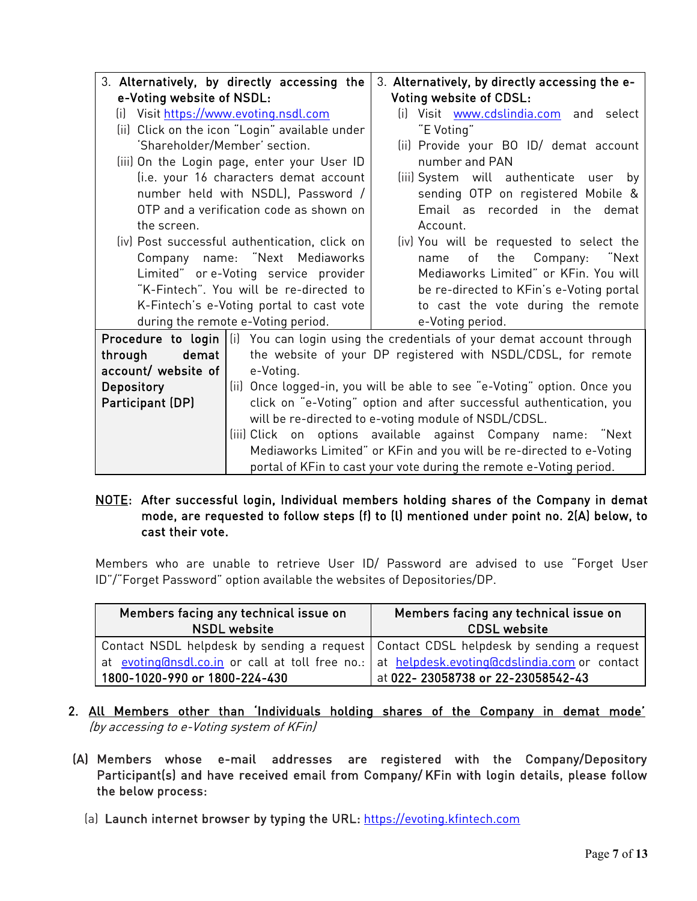|                                         | 3. Alternatively, by directly accessing the<br>3. Alternatively, by directly accessing the e- |                                                                                                         |  |
|-----------------------------------------|-----------------------------------------------------------------------------------------------|---------------------------------------------------------------------------------------------------------|--|
| e-Voting website of NSDL:               | <b>Voting website of CDSL:</b>                                                                |                                                                                                         |  |
| (i) Visit https://www.evoting.nsdl.com  | (i) Visit www.cdslindia.com and select                                                        |                                                                                                         |  |
|                                         | (ii) Click on the icon "Login" available under<br>"E Voting"                                  |                                                                                                         |  |
|                                         | 'Shareholder/Member' section.<br>(ii) Provide your BO ID/ demat account                       |                                                                                                         |  |
|                                         | (iii) On the Login page, enter your User ID                                                   | number and PAN                                                                                          |  |
|                                         | (i.e. your 16 characters demat account                                                        | (iii) System will authenticate user<br>bv                                                               |  |
| number held with NSDL), Password /      |                                                                                               | sending OTP on registered Mobile &                                                                      |  |
| OTP and a verification code as shown on |                                                                                               | Email as recorded in the demat                                                                          |  |
| the screen.                             |                                                                                               | Account.                                                                                                |  |
|                                         | (iv) Post successful authentication, click on                                                 | (iv) You will be requested to select the                                                                |  |
|                                         | Company name: "Next Mediaworks<br>Company: "Next<br>the<br>of<br>name                         |                                                                                                         |  |
|                                         | Mediaworks Limited" or KFin. You will<br>Limited" or e-Voting service provider                |                                                                                                         |  |
|                                         | "K-Fintech". You will be re-directed to<br>be re-directed to KFin's e-Voting portal           |                                                                                                         |  |
|                                         | to cast the vote during the remote<br>K-Fintech's e-Voting portal to cast vote                |                                                                                                         |  |
|                                         | during the remote e-Voting period.                                                            | e-Voting period.                                                                                        |  |
|                                         |                                                                                               | <b>Procedure to login</b> $\vert$ (i) You can login using the credentials of your demat account through |  |
| demat  <br>through                      |                                                                                               | the website of your DP registered with NSDL/CDSL, for remote                                            |  |
| account/ website of                     | e-Voting.                                                                                     |                                                                                                         |  |
| <b>Depository</b>                       | (ii) Once logged-in, you will be able to see "e-Voting" option. Once you                      |                                                                                                         |  |
| Participant (DP)                        | click on "e-Voting" option and after successful authentication, you                           |                                                                                                         |  |
|                                         | will be re-directed to e-voting module of NSDL/CDSL.                                          |                                                                                                         |  |
|                                         | (iii) Click on options available against Company name: "Next                                  |                                                                                                         |  |
|                                         | Mediaworks Limited" or KFin and you will be re-directed to e-Voting                           |                                                                                                         |  |
|                                         | portal of KFin to cast your vote during the remote e-Voting period.                           |                                                                                                         |  |

### NOTE: After successful login, Individual members holding shares of the Company in demat mode, are requested to follow steps (f) to (l) mentioned under point no. 2(A) below, to cast their vote.

Members who are unable to retrieve User ID/ Password are advised to use "Forget User ID"/"Forget Password" option available the websites of Depositories/DP.

| Members facing any technical issue on<br><b>NSDL</b> website                                   | Members facing any technical issue on<br><b>CDSL website</b> |  |
|------------------------------------------------------------------------------------------------|--------------------------------------------------------------|--|
| Contact NSDL helpdesk by sending a request   Contact CDSL helpdesk by sending a request        |                                                              |  |
| at evoting@nsdl.co.in or call at toll free no.:   at helpdesk.evoting@cdslindia.com or contact |                                                              |  |
| 1800-1020-990 or 1800-224-430                                                                  | at 022-23058738 or 22-23058542-43                            |  |

- 2. All Members other than 'Individuals holding shares of the Company in demat mode' (by accessing to e-Voting system of KFin)
- (A) Members whose e-mail addresses are registered with the Company/Depository Participant(s) and have received email from Company/ KFin with login details, please follow the below process:
	- (a) Launch internet browser by typing the URL: [https://evoting.kfintech.com](https://evoting.kfintech.com/)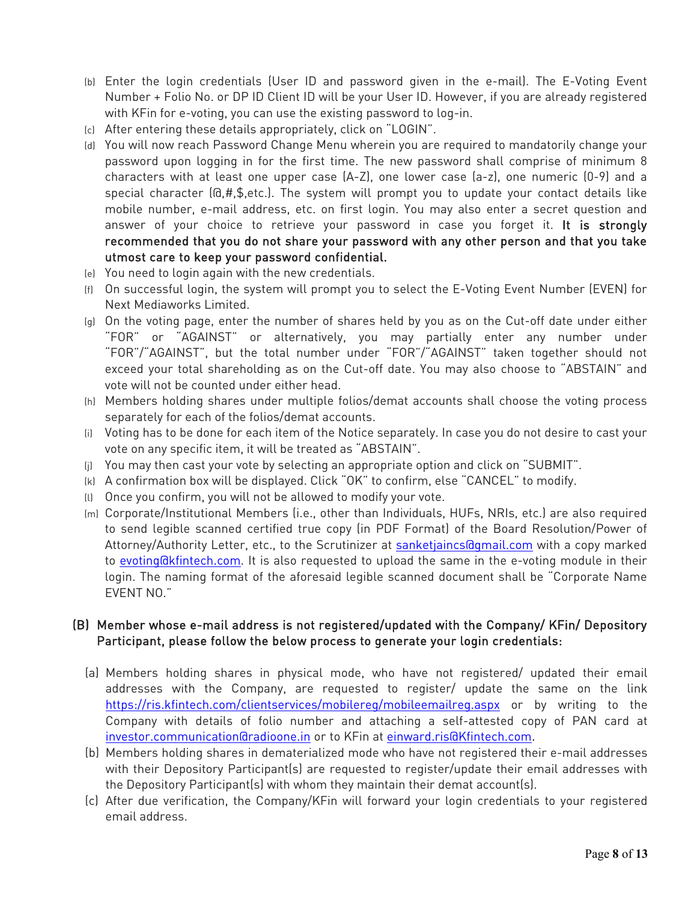- (b) Enter the login credentials (User ID and password given in the e-mail). The E-Voting Event Number + Folio No. or DP ID Client ID will be your User ID. However, if you are already registered with KFin for e-voting, you can use the existing password to log-in.
- (c) After entering these details appropriately, click on "LOGIN".
- (d) You will now reach Password Change Menu wherein you are required to mandatorily change your password upon logging in for the first time. The new password shall comprise of minimum 8 characters with at least one upper case (A-Z), one lower case (a-z), one numeric (0-9) and a special character (@,#,\$,etc.). The system will prompt you to update your contact details like mobile number, e-mail address, etc. on first login. You may also enter a secret question and answer of your choice to retrieve your password in case you forget it. It is strongly recommended that you do not share your password with any other person and that you take utmost care to keep your password confidential.
- (e) You need to login again with the new credentials.
- (f) On successful login, the system will prompt you to select the E-Voting Event Number (EVEN) for Next Mediaworks Limited.
- (g) On the voting page, enter the number of shares held by you as on the Cut-off date under either "FOR" or "AGAINST" or alternatively, you may partially enter any number under "FOR"/"AGAINST", but the total number under "FOR"/"AGAINST" taken together should not exceed your total shareholding as on the Cut-off date. You may also choose to "ABSTAIN" and vote will not be counted under either head.
- (h) Members holding shares under multiple folios/demat accounts shall choose the voting process separately for each of the folios/demat accounts.
- (i) Voting has to be done for each item of the Notice separately. In case you do not desire to cast your vote on any specific item, it will be treated as "ABSTAIN".
- (j) You may then cast your vote by selecting an appropriate option and click on "SUBMIT".
- (k) A confirmation box will be displayed. Click "OK" to confirm, else "CANCEL" to modify.
- (l) Once you confirm, you will not be allowed to modify your vote.
- (m) Corporate/Institutional Members (i.e., other than Individuals, HUFs, NRIs, etc.) are also required to send legible scanned certified true copy (in PDF Format) of the Board Resolution/Power of Attorney/Authority Letter, etc., to the Scrutinizer at [sanketjaincs@gmail.com](mailto:sanketjaincs@gmail.com) with a copy marked to [evoting@kfintech.com.](mailto:evoting@kfintech.com) It is also requested to upload the same in the e-voting module in their login. The naming format of the aforesaid legible scanned document shall be "Corporate Name EVENT NO."

# (B) Member whose e-mail address is not registered/updated with the Company/ KFin/ Depository Participant, please follow the below process to generate your login credentials:

- (a) Members holding shares in physical mode, who have not registered/ updated their email addresses with the Company, are requested to register/ update the same on the link [https://ris.kfintech.com/clientservices/mobilereg/mobileemailreg.aspx](https://ind01.safelinks.protection.outlook.com/?url=https%3A%2F%2Fris.kfintech.com%2Fclientservices%2Fmobilereg%2Fmobileemailreg.aspx&data=04%7C01%7Csuresh.d%40kfintech.com%7C6db0a2c479c7426d991c08d963b2048a%7C1f05907ac524467eb2e103a361253cb5%7C0%7C0%7C637650438518809418%7CUnknown%7CTWFpbGZsb3d8eyJWIjoiMC4wLjAwMDAiLCJQIjoiV2luMzIiLCJBTiI6Ik1haWwiLCJXVCI6Mn0%3D%7C1000&sdata=%2BfpqfxcDe1SpIUQtYxd0YwQkPRe%2F2KRExxBGX%2F1jpNI%3D&reserved=0) or by writing to the Company with details of folio number and attaching a self-attested copy of PAN card at [investor.communication@radioone.in](mailto:investor.communication@radioone.in) or to KFin at [einward.ris@Kfintech.com.](mailto:einward.ris@Kfintech.com)
- (b) Members holding shares in dematerialized mode who have not registered their e-mail addresses with their Depository Participant(s) are requested to register/update their email addresses with the Depository Participant(s) with whom they maintain their demat account(s).
- (c) After due verification, the Company/KFin will forward your login credentials to your registered email address.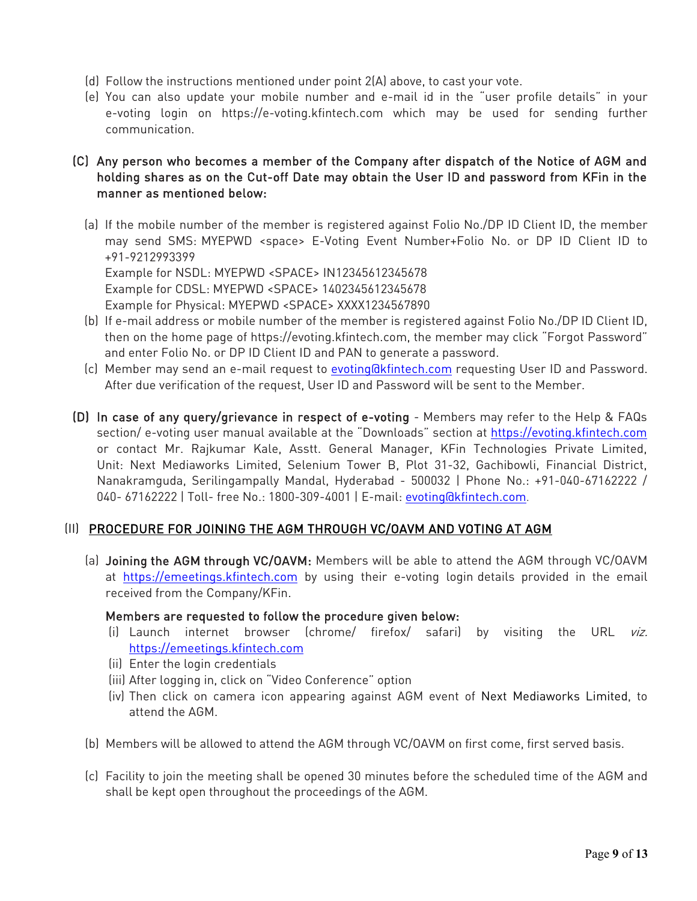- (d) Follow the instructions mentioned under point 2(A) above, to cast your vote.
- (e) You can also update your mobile number and e-mail id in the "user profile details" in your e-voting login on [https://e-voting.kfintech.com](https://e-voting.kfintech.com/) which may be used for sending further communication.
- (C) Any person who becomes a member of the Company after dispatch of the Notice of AGM and holding shares as on the Cut-off Date may obtain the User ID and password from KFin in the manner as mentioned below:
	- (a) If the mobile number of the member is registered against Folio No./DP ID Client ID, the member may send SMS: MYEPWD <space> E-Voting Event Number+Folio No. or DP ID Client ID to +91-9212993399 Example for NSDL: MYEPWD <SPACE> IN12345612345678

Example for CDSL: MYEPWD <SPACE> 1402345612345678 Example for Physical: MYEPWD <SPACE> XXXX1234567890

- (b) If e-mail address or mobile number of the member is registered against Folio No./DP ID Client ID, then on the home page of [https://evoting.kfintech.com,](https://evoting.kfintech.com/) the member may click "Forgot Password" and enter Folio No. or DP ID Client ID and PAN to generate a password.
- (c) Member may send an e-mail request to [evoting@kfintech.com](mailto:evoting@kfintech.com) requesting User ID and Password. After due verification of the request, User ID and Password will be sent to the Member.
- (D) In case of any query/grievance in respect of e-voting Members may refer to the Help & FAQs section/ e-voting user manual available at the "Downloads" section at [https://evoting.kfintech.com](https://evoting.kfintech.com/) or contact Mr. Rajkumar Kale, Asstt. General Manager, KFin Technologies Private Limited, Unit: Next Mediaworks Limited, Selenium Tower B, Plot 31-32, Gachibowli, Financial District, Nanakramguda, Serilingampally Mandal, Hyderabad - 500032 | Phone No.: +91-040-67162222 / 040- 67162222 | Toll- free No.: 1800-309-4001 | E-mail: [evoting@kfintech.com](mailto:evoting@kfintech.com).

# (II) PROCEDURE FOR JOINING THE AGM THROUGH VC/OAVM AND VOTING AT AGM

(a) Joining the AGM through VC/OAVM: Members will be able to attend the AGM through VC/OAVM at [https://emeetings.kfintech.com](https://emeetings.kfintech.com/) by using their e-voting login details provided in the email received from the Company/KFin.

# Members are requested to follow the procedure given below:

- (i) Launch internet browser (chrome/ firefox/ safari) by visiting the URL viz. [https://emeetings.kfintech.com](https://emeetings.kfintech.com/)
- (ii) Enter the login credentials
- (iii) After logging in, click on "Video Conference" option
- (iv) Then click on camera icon appearing against AGM event of Next Mediaworks Limited, to attend the AGM.
- (b) Members will be allowed to attend the AGM through VC/OAVM on first come, first served basis.
- (c) Facility to join the meeting shall be opened 30 minutes before the scheduled time of the AGM and shall be kept open throughout the proceedings of the AGM.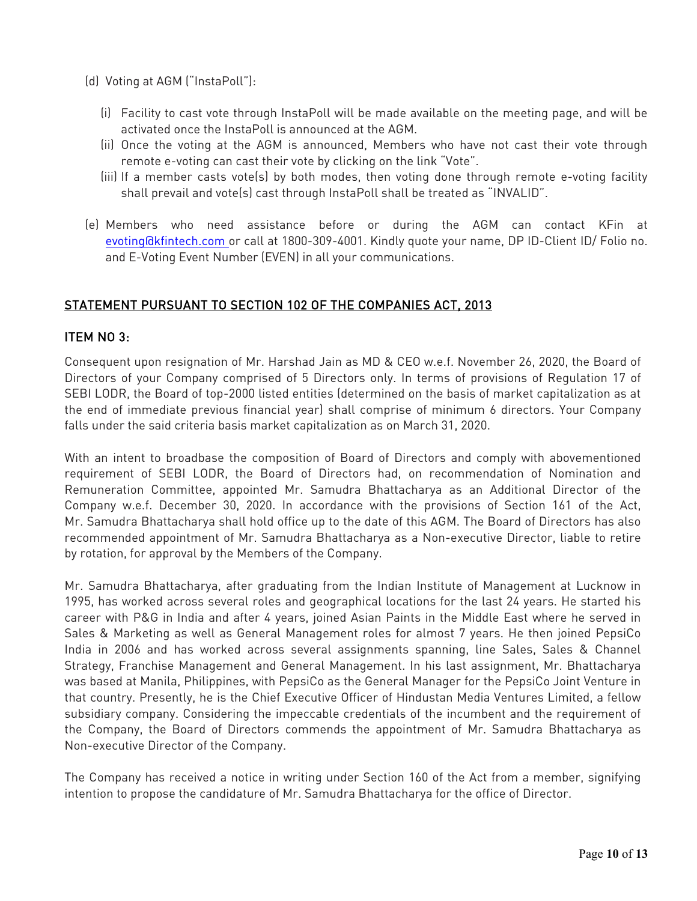- (d) Voting at AGM ("InstaPoll"):
	- (i) Facility to cast vote through InstaPoll will be made available on the meeting page, and will be activated once the InstaPoll is announced at the AGM.
	- (ii) Once the voting at the AGM is announced, Members who have not cast their vote through remote e-voting can cast their vote by clicking on the link "Vote".
	- (iii) If a member casts vote(s) by both modes, then voting done through remote e-voting facility shall prevail and vote(s) cast through InstaPoll shall be treated as "INVALID".
- (e) Members who need assistance before or during the AGM can contact KFin at [evoting@kfintech.com](mailto:evoting@kfintech.com) or call at 1800-309-4001. Kindly quote your name, DP ID-Client ID/ Folio no. and E-Voting Event Number (EVEN) in all your communications.

# STATEMENT PURSUANT TO SECTION 102 OF THE COMPANIES ACT, 2013

### ITEM NO 3:

Consequent upon resignation of Mr. Harshad Jain as MD & CEO w.e.f. November 26, 2020, the Board of Directors of your Company comprised of 5 Directors only. In terms of provisions of Regulation 17 of SEBI LODR, the Board of top-2000 listed entities (determined on the basis of market capitalization as at the end of immediate previous financial year) shall comprise of minimum 6 directors. Your Company falls under the said criteria basis market capitalization as on March 31, 2020.

With an intent to broadbase the composition of Board of Directors and comply with abovementioned requirement of SEBI LODR, the Board of Directors had, on recommendation of Nomination and Remuneration Committee, appointed Mr. Samudra Bhattacharya as an Additional Director of the Company w.e.f. December 30, 2020. In accordance with the provisions of Section 161 of the Act, Mr. Samudra Bhattacharya shall hold office up to the date of this AGM. The Board of Directors has also recommended appointment of Mr. Samudra Bhattacharya as a Non-executive Director, liable to retire by rotation, for approval by the Members of the Company.

Mr. Samudra Bhattacharya, after graduating from the Indian Institute of Management at Lucknow in 1995, has worked across several roles and geographical locations for the last 24 years. He started his career with P&G in India and after 4 years, joined Asian Paints in the Middle East where he served in Sales & Marketing as well as General Management roles for almost 7 years. He then joined PepsiCo India in 2006 and has worked across several assignments spanning, line Sales, Sales & Channel Strategy, Franchise Management and General Management. In his last assignment, Mr. Bhattacharya was based at Manila, Philippines, with PepsiCo as the General Manager for the PepsiCo Joint Venture in that country. Presently, he is the Chief Executive Officer of Hindustan Media Ventures Limited, a fellow subsidiary company. Considering the impeccable credentials of the incumbent and the requirement of the Company, the Board of Directors commends the appointment of Mr. Samudra Bhattacharya as Non-executive Director of the Company.

The Company has received a notice in writing under Section 160 of the Act from a member, signifying intention to propose the candidature of Mr. Samudra Bhattacharya for the office of Director.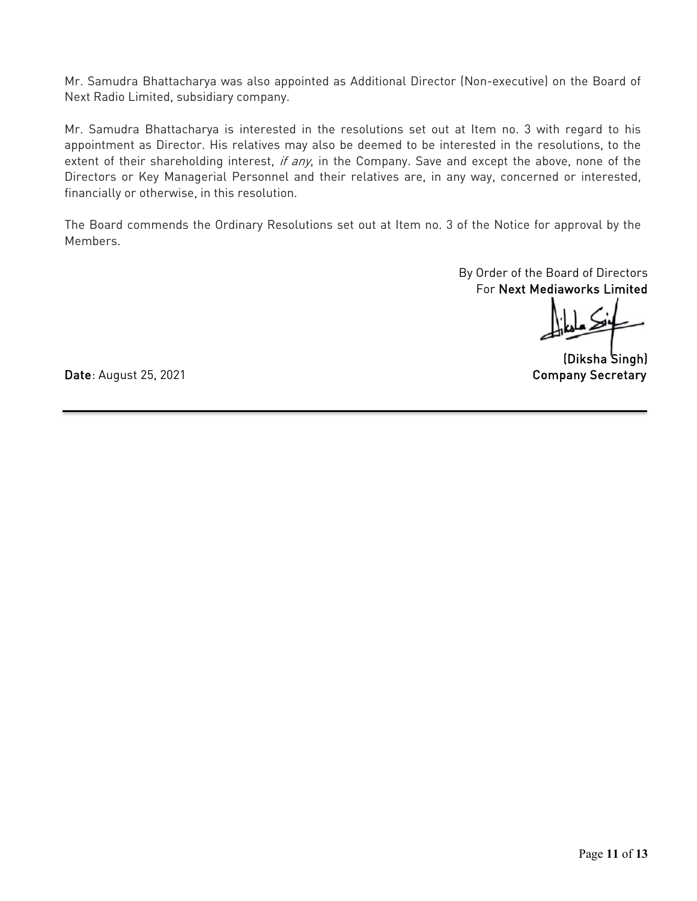Mr. Samudra Bhattacharya was also appointed as Additional Director (Non-executive) on the Board of Next Radio Limited, subsidiary company.

Mr. Samudra Bhattacharya is interested in the resolutions set out at Item no. 3 with regard to his appointment as Director. His relatives may also be deemed to be interested in the resolutions, to the extent of their shareholding interest, if any, in the Company. Save and except the above, none of the Directors or Key Managerial Personnel and their relatives are, in any way, concerned or interested, financially or otherwise, in this resolution.

The Board commends the Ordinary Resolutions set out at Item no. 3 of the Notice for approval by the Members.

> By Order of the Board of Directors For Next Mediaworks Limited

(Diksha Singh)

Date: August 25, 2021 **Company Secretary**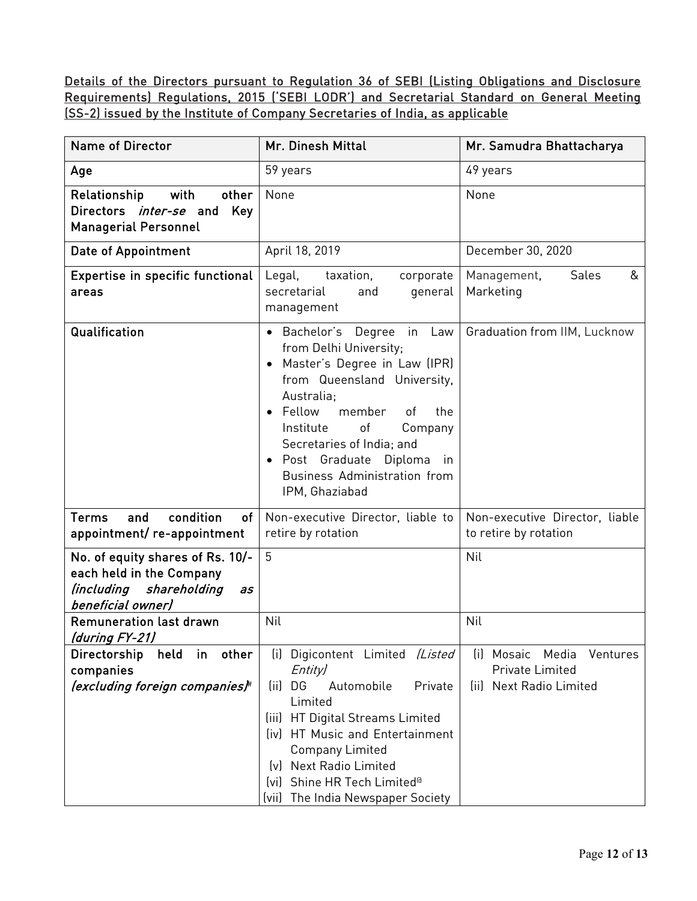Details of the Directors pursuant to Regulation 36 of SEBI (Listing Obligations and Disclosure Requirements) Regulations, 2015 ('SEBI LODR') and Secretarial Standard on General Meeting (SS-2) issued by the Institute of Company Secretaries of India, as applicable

| Name of Director                                                                                                      | Mr. Dinesh Mittal                                                                                                                                                                                                                                                                                                                                                  | Mr. Samudra Bhattacharya                                                      |
|-----------------------------------------------------------------------------------------------------------------------|--------------------------------------------------------------------------------------------------------------------------------------------------------------------------------------------------------------------------------------------------------------------------------------------------------------------------------------------------------------------|-------------------------------------------------------------------------------|
| Age                                                                                                                   | 59 years                                                                                                                                                                                                                                                                                                                                                           | 49 years                                                                      |
| Relationship<br>with<br>other<br>Directors <i>inter-se</i> and<br>Key<br><b>Managerial Personnel</b>                  | None                                                                                                                                                                                                                                                                                                                                                               | None                                                                          |
| Date of Appointment                                                                                                   | April 18, 2019                                                                                                                                                                                                                                                                                                                                                     | December 30, 2020                                                             |
| Expertise in specific functional<br>areas                                                                             | Legal,<br>taxation,<br>corporate<br>secretarial<br>general<br>and<br>management                                                                                                                                                                                                                                                                                    | &<br>Management,<br>Sales<br>Marketing                                        |
| Qualification                                                                                                         | · Bachelor's Degree<br>in<br>Law<br>from Delhi University;<br>Master's Degree in Law (IPR)<br>$\bullet$<br>from Queensland University,<br>Australia:<br>Fellow<br>member<br>of<br>the<br>$\bullet$<br>$\circ$ f<br>Institute<br>Company<br>Secretaries of India; and<br>Post Graduate Diploma<br>in<br>$\bullet$<br>Business Administration from<br>IPM, Ghaziabad | Graduation from IIM, Lucknow                                                  |
| condition<br><b>Terms</b><br>and<br>of<br>appointment/re-appointment                                                  | Non-executive Director, liable to<br>retire by rotation                                                                                                                                                                                                                                                                                                            | Non-executive Director, liable<br>to retire by rotation                       |
| No. of equity shares of Rs. 10/-<br>each held in the Company<br>(including<br>shareholding<br>as<br>beneficial owner) | 5                                                                                                                                                                                                                                                                                                                                                                  | Nil                                                                           |
| <b>Remuneration last drawn</b><br>(during FY-21)                                                                      | Nil                                                                                                                                                                                                                                                                                                                                                                | Nil                                                                           |
| other<br>Directorship<br>held<br>in<br>companies<br>(excluding foreign companies)#                                    | Digicontent Limited (Listed<br>(i)<br>Entity)<br>(ii) DG<br>Automobile<br>Private<br>Limited<br>HT Digital Streams Limited<br>(iii)<br>(iv) HT Music and Entertainment<br><b>Company Limited</b><br>(v) Next Radio Limited<br>(vi) Shine HR Tech Limited <sup>®</sup><br>(vii) The India Newspaper Society                                                         | Mosaic Media<br>Ventures<br>lil<br>Private Limited<br>(ii) Next Radio Limited |